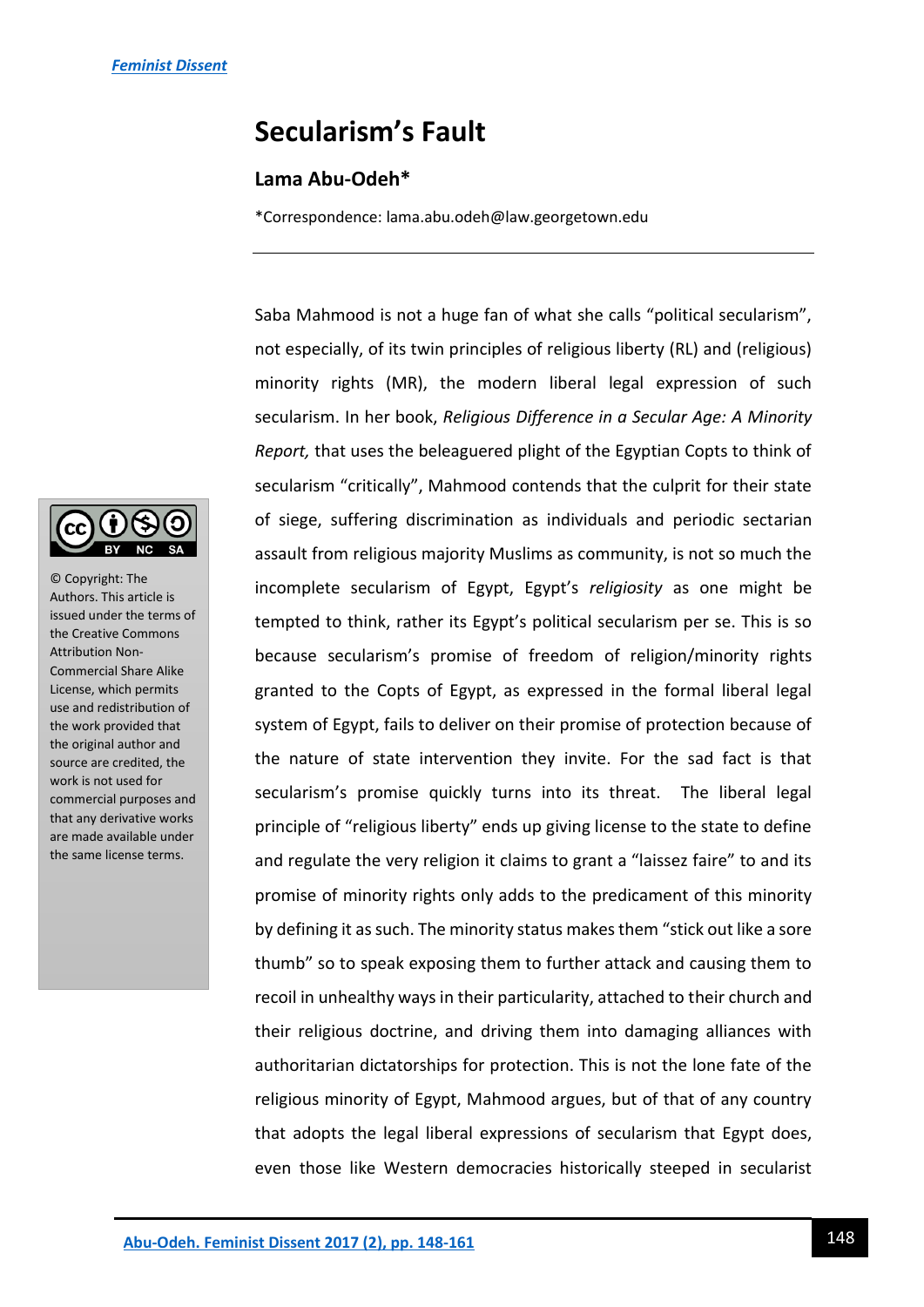# **Secularism's Fault**

# **Lama Abu-Odeh\***

\*Correspondence: lama.abu.odeh@law.georgetown.edu

© Copyright: The Authors. This article is issued under the terms of the Creative Commons Attribution Non-Commercial Share Alike License, which permits use and redistribution of the work provided that the original author and source are credited, the work is not used for commercial purposes and that any derivative works are made available under the same license terms.

Saba Mahmood is not a huge fan of what she calls "political secularism", not especially, of its twin principles of religious liberty (RL) and (religious) minority rights (MR), the modern liberal legal expression of such secularism. In her book, *Religious Difference in a Secular Age: A Minority Report,* that uses the beleaguered plight of the Egyptian Copts to think of secularism "critically", Mahmood contends that the culprit for their state of siege, suffering discrimination as individuals and periodic sectarian assault from religious majority Muslims as community, is not so much the incomplete secularism of Egypt, Egypt's *religiosity* as one might be tempted to think, rather its Egypt's political secularism per se. This is so because secularism's promise of freedom of religion/minority rights granted to the Copts of Egypt, as expressed in the formal liberal legal system of Egypt, fails to deliver on their promise of protection because of the nature of state intervention they invite. For the sad fact is that secularism's promise quickly turns into its threat. The liberal legal principle of "religious liberty" ends up giving license to the state to define and regulate the very religion it claims to grant a "laissez faire" to and its promise of minority rights only adds to the predicament of this minority by defining it as such. The minority status makes them "stick out like a sore thumb" so to speak exposing them to further attack and causing them to recoil in unhealthy ways in their particularity, attached to their church and their religious doctrine, and driving them into damaging alliances with authoritarian dictatorships for protection. This is not the lone fate of the religious minority of Egypt, Mahmood argues, but of that of any country that adopts the legal liberal expressions of secularism that Egypt does, even those like Western democracies historically steeped in secularist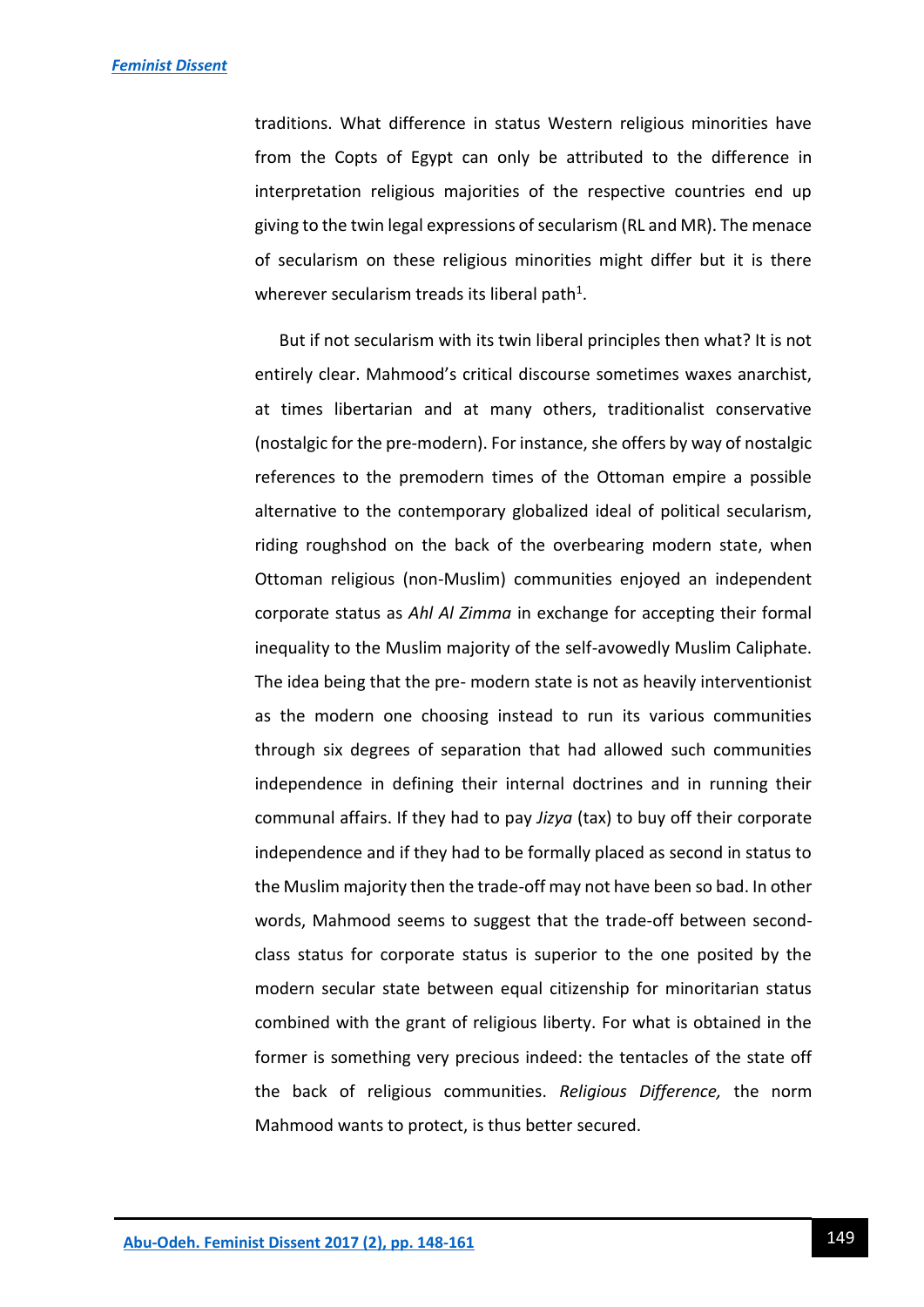traditions. What difference in status Western religious minorities have from the Copts of Egypt can only be attributed to the difference in interpretation religious majorities of the respective countries end up giving to the twin legal expressions of secularism (RL and MR). The menace of secularism on these religious minorities might differ but it is there wherever secularism treads its liberal path<sup>1</sup>.

But if not secularism with its twin liberal principles then what? It is not entirely clear. Mahmood's critical discourse sometimes waxes anarchist, at times libertarian and at many others, traditionalist conservative (nostalgic for the pre-modern). For instance, she offers by way of nostalgic references to the premodern times of the Ottoman empire a possible alternative to the contemporary globalized ideal of political secularism, riding roughshod on the back of the overbearing modern state, when Ottoman religious (non-Muslim) communities enjoyed an independent corporate status as *Ahl Al Zimma* in exchange for accepting their formal inequality to the Muslim majority of the self-avowedly Muslim Caliphate. The idea being that the pre- modern state is not as heavily interventionist as the modern one choosing instead to run its various communities through six degrees of separation that had allowed such communities independence in defining their internal doctrines and in running their communal affairs. If they had to pay *Jizya* (tax) to buy off their corporate independence and if they had to be formally placed as second in status to the Muslim majority then the trade-off may not have been so bad. In other words, Mahmood seems to suggest that the trade-off between secondclass status for corporate status is superior to the one posited by the modern secular state between equal citizenship for minoritarian status combined with the grant of religious liberty. For what is obtained in the former is something very precious indeed: the tentacles of the state off the back of religious communities. *Religious Difference,* the norm Mahmood wants to protect, is thus better secured.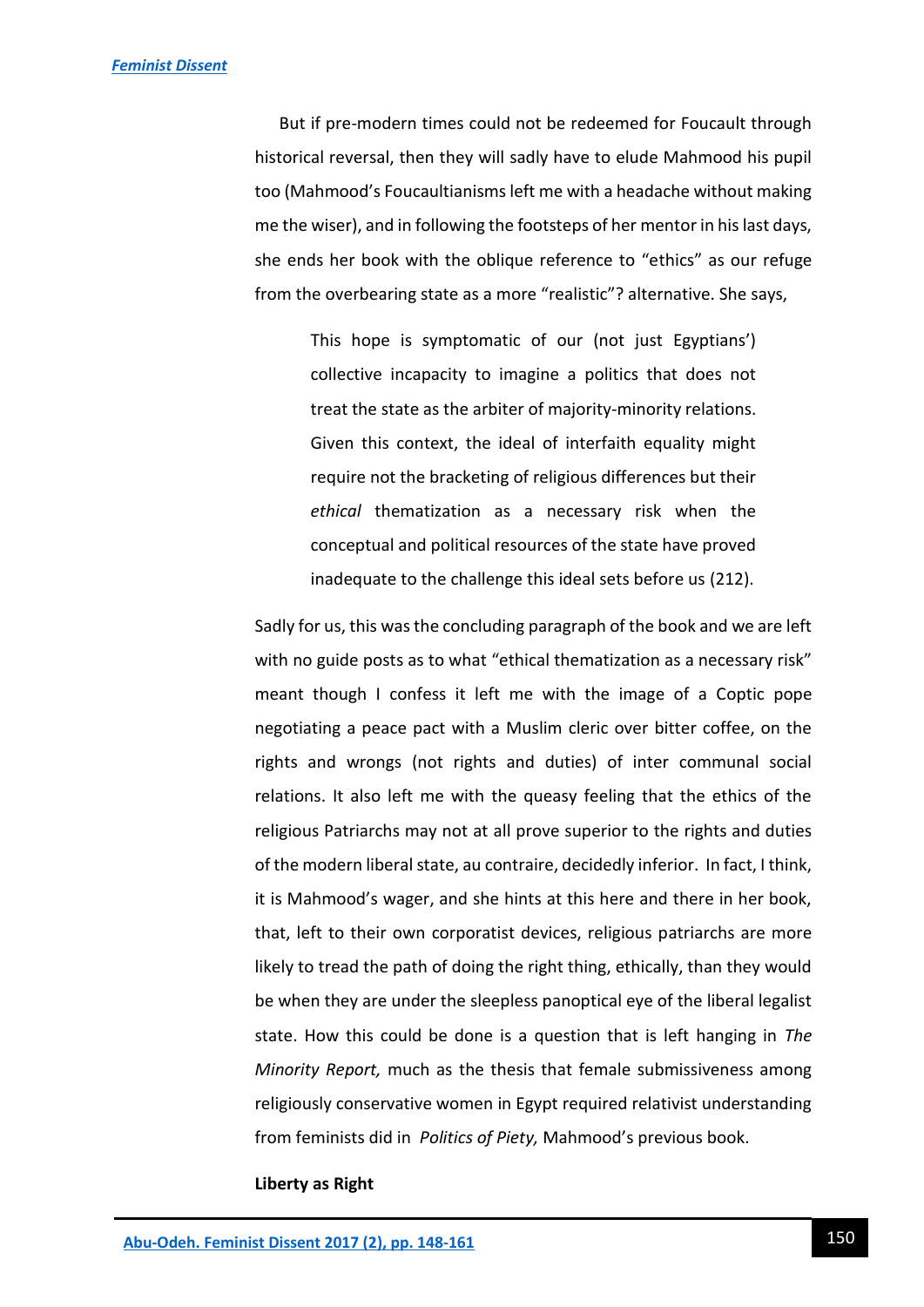But if pre-modern times could not be redeemed for Foucault through historical reversal, then they will sadly have to elude Mahmood his pupil too (Mahmood's Foucaultianisms left me with a headache without making me the wiser), and in following the footsteps of her mentor in his last days, she ends her book with the oblique reference to "ethics" as our refuge from the overbearing state as a more "realistic"? alternative. She says,

This hope is symptomatic of our (not just Egyptians') collective incapacity to imagine a politics that does not treat the state as the arbiter of majority-minority relations. Given this context, the ideal of interfaith equality might require not the bracketing of religious differences but their *ethical* thematization as a necessary risk when the conceptual and political resources of the state have proved inadequate to the challenge this ideal sets before us (212).

Sadly for us, this was the concluding paragraph of the book and we are left with no guide posts as to what "ethical thematization as a necessary risk" meant though I confess it left me with the image of a Coptic pope negotiating a peace pact with a Muslim cleric over bitter coffee, on the rights and wrongs (not rights and duties) of inter communal social relations. It also left me with the queasy feeling that the ethics of the religious Patriarchs may not at all prove superior to the rights and duties of the modern liberal state, au contraire, decidedly inferior. In fact, I think, it is Mahmood's wager, and she hints at this here and there in her book, that, left to their own corporatist devices, religious patriarchs are more likely to tread the path of doing the right thing, ethically, than they would be when they are under the sleepless panoptical eye of the liberal legalist state. How this could be done is a question that is left hanging in *The Minority Report,* much as the thesis that female submissiveness among religiously conservative women in Egypt required relativist understanding from feminists did in *Politics of Piety,* Mahmood's previous book.

#### **Liberty as Right**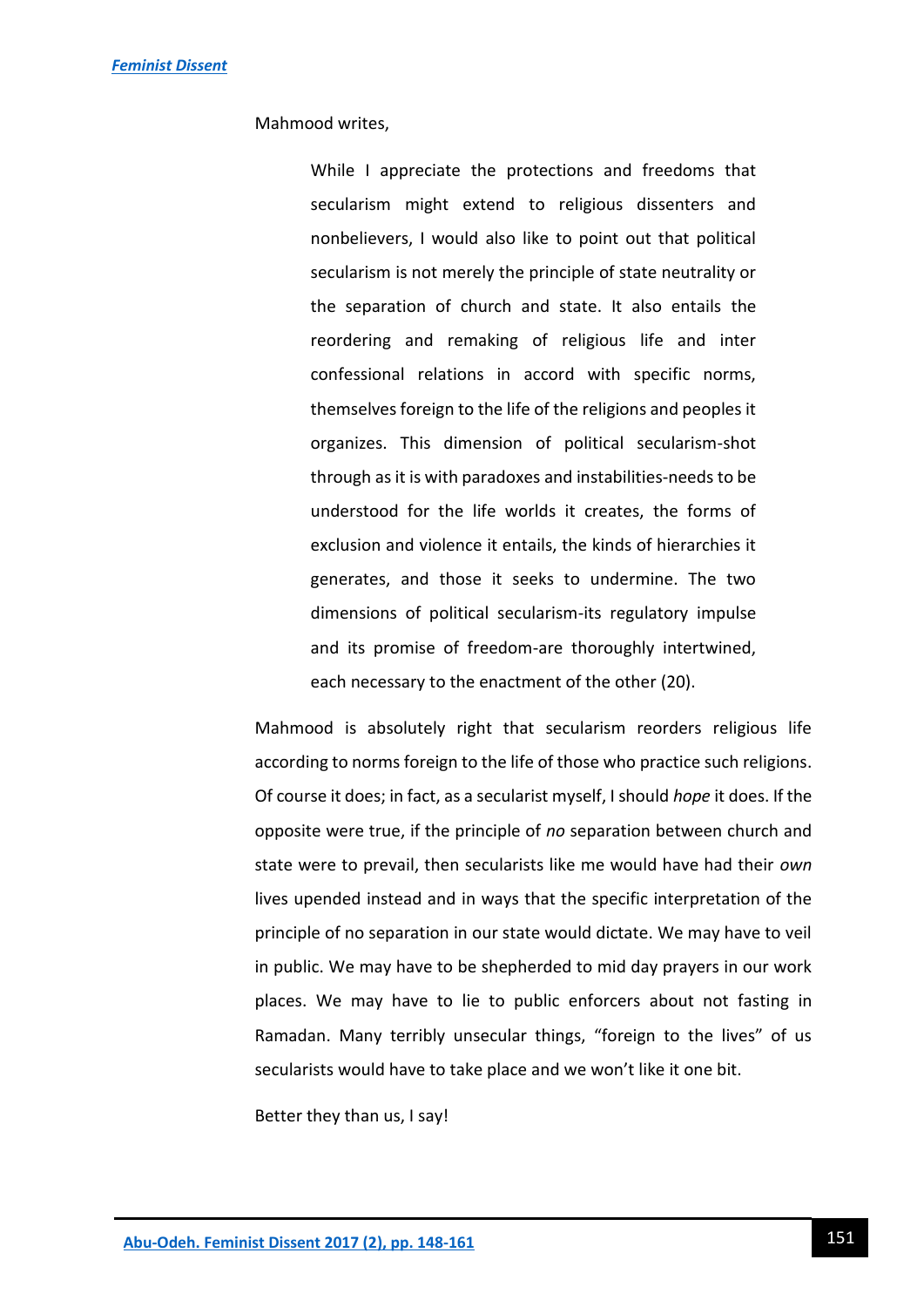Mahmood writes,

While I appreciate the protections and freedoms that secularism might extend to religious dissenters and nonbelievers, I would also like to point out that political secularism is not merely the principle of state neutrality or the separation of church and state. It also entails the reordering and remaking of religious life and inter confessional relations in accord with specific norms, themselves foreign to the life of the religions and peoples it organizes. This dimension of political secularism-shot through as it is with paradoxes and instabilities-needs to be understood for the life worlds it creates, the forms of exclusion and violence it entails, the kinds of hierarchies it generates, and those it seeks to undermine. The two dimensions of political secularism-its regulatory impulse and its promise of freedom-are thoroughly intertwined, each necessary to the enactment of the other (20).

Mahmood is absolutely right that secularism reorders religious life according to norms foreign to the life of those who practice such religions. Of course it does; in fact, as a secularist myself, I should *hope* it does. If the opposite were true, if the principle of *no* separation between church and state were to prevail, then secularists like me would have had their *own* lives upended instead and in ways that the specific interpretation of the principle of no separation in our state would dictate. We may have to veil in public. We may have to be shepherded to mid day prayers in our work places. We may have to lie to public enforcers about not fasting in Ramadan. Many terribly unsecular things, "foreign to the lives" of us secularists would have to take place and we won't like it one bit.

Better they than us, I say!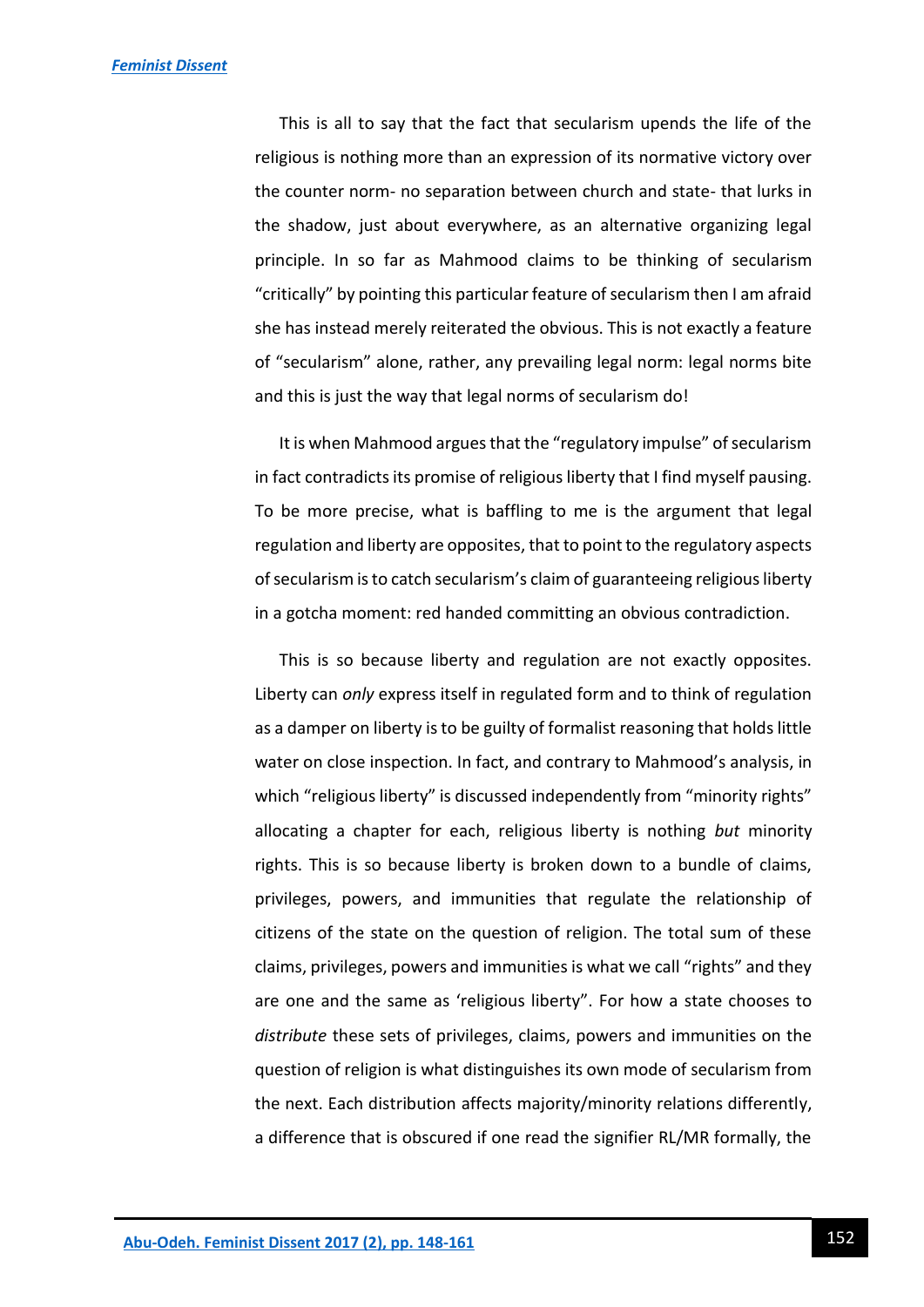This is all to say that the fact that secularism upends the life of the religious is nothing more than an expression of its normative victory over the counter norm- no separation between church and state- that lurks in the shadow, just about everywhere, as an alternative organizing legal principle. In so far as Mahmood claims to be thinking of secularism "critically" by pointing this particular feature of secularism then I am afraid she has instead merely reiterated the obvious. This is not exactly a feature of "secularism" alone, rather, any prevailing legal norm: legal norms bite and this is just the way that legal norms of secularism do!

It is when Mahmood argues that the "regulatory impulse" of secularism in fact contradicts its promise of religious liberty that I find myself pausing. To be more precise, what is baffling to me is the argument that legal regulation and liberty are opposites, that to point to the regulatory aspects of secularism is to catch secularism's claim of guaranteeing religious liberty in a gotcha moment: red handed committing an obvious contradiction.

This is so because liberty and regulation are not exactly opposites. Liberty can *only* express itself in regulated form and to think of regulation as a damper on liberty is to be guilty of formalist reasoning that holds little water on close inspection. In fact, and contrary to Mahmood's analysis, in which "religious liberty" is discussed independently from "minority rights" allocating a chapter for each, religious liberty is nothing *but* minority rights. This is so because liberty is broken down to a bundle of claims, privileges, powers, and immunities that regulate the relationship of citizens of the state on the question of religion. The total sum of these claims, privileges, powers and immunities is what we call "rights" and they are one and the same as 'religious liberty". For how a state chooses to *distribute* these sets of privileges, claims, powers and immunities on the question of religion is what distinguishes its own mode of secularism from the next. Each distribution affects majority/minority relations differently, a difference that is obscured if one read the signifier RL/MR formally, the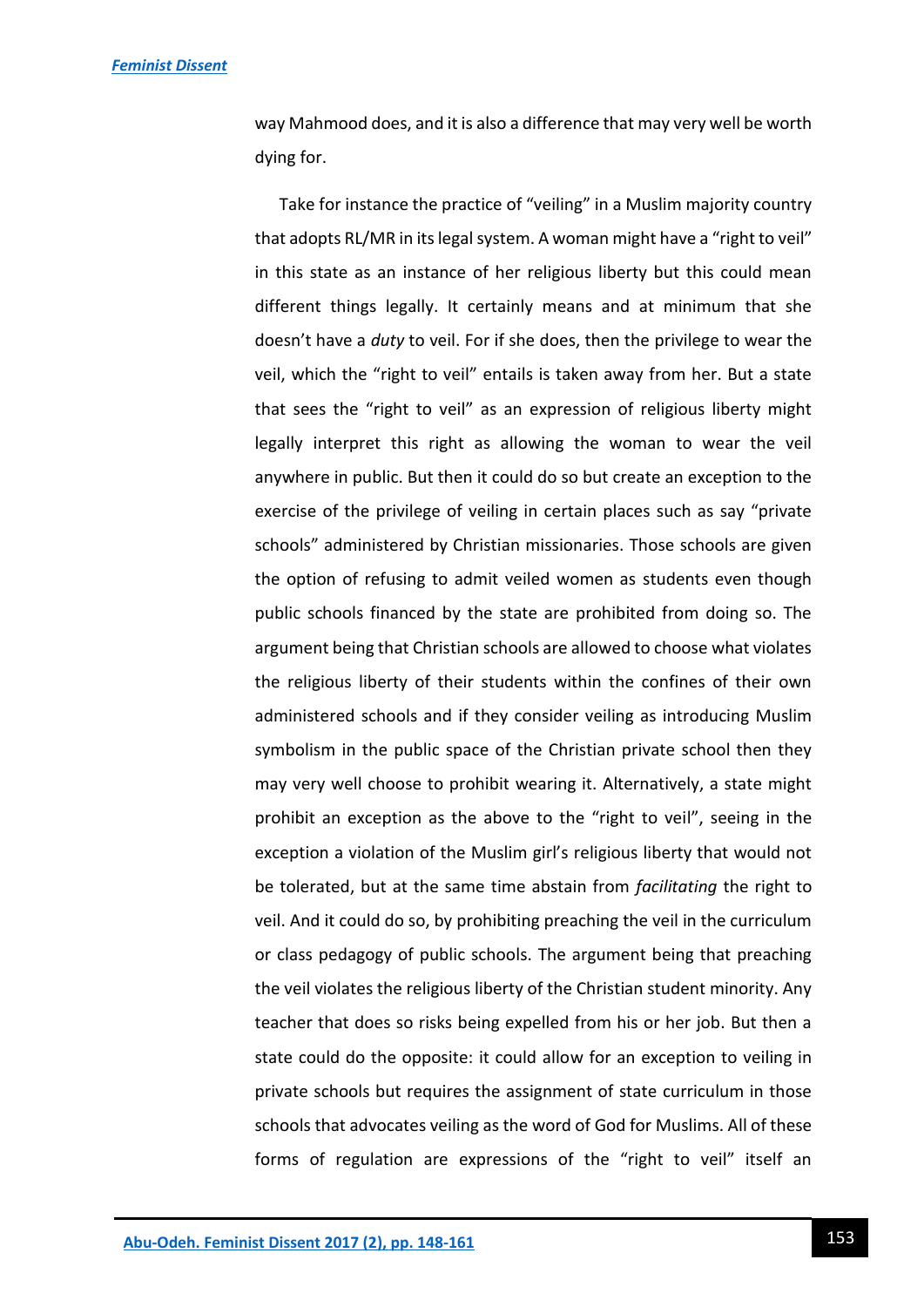way Mahmood does, and it is also a difference that may very well be worth dying for.

Take for instance the practice of "veiling" in a Muslim majority country that adopts RL/MR in its legal system. A woman might have a "right to veil" in this state as an instance of her religious liberty but this could mean different things legally. It certainly means and at minimum that she doesn't have a *duty* to veil. For if she does, then the privilege to wear the veil, which the "right to veil" entails is taken away from her. But a state that sees the "right to veil" as an expression of religious liberty might legally interpret this right as allowing the woman to wear the veil anywhere in public. But then it could do so but create an exception to the exercise of the privilege of veiling in certain places such as say "private schools" administered by Christian missionaries. Those schools are given the option of refusing to admit veiled women as students even though public schools financed by the state are prohibited from doing so. The argument being that Christian schools are allowed to choose what violates the religious liberty of their students within the confines of their own administered schools and if they consider veiling as introducing Muslim symbolism in the public space of the Christian private school then they may very well choose to prohibit wearing it. Alternatively, a state might prohibit an exception as the above to the "right to veil", seeing in the exception a violation of the Muslim girl's religious liberty that would not be tolerated, but at the same time abstain from *facilitating* the right to veil. And it could do so, by prohibiting preaching the veil in the curriculum or class pedagogy of public schools. The argument being that preaching the veil violates the religious liberty of the Christian student minority. Any teacher that does so risks being expelled from his or her job. But then a state could do the opposite: it could allow for an exception to veiling in private schools but requires the assignment of state curriculum in those schools that advocates veiling as the word of God for Muslims. All of these forms of regulation are expressions of the "right to veil" itself an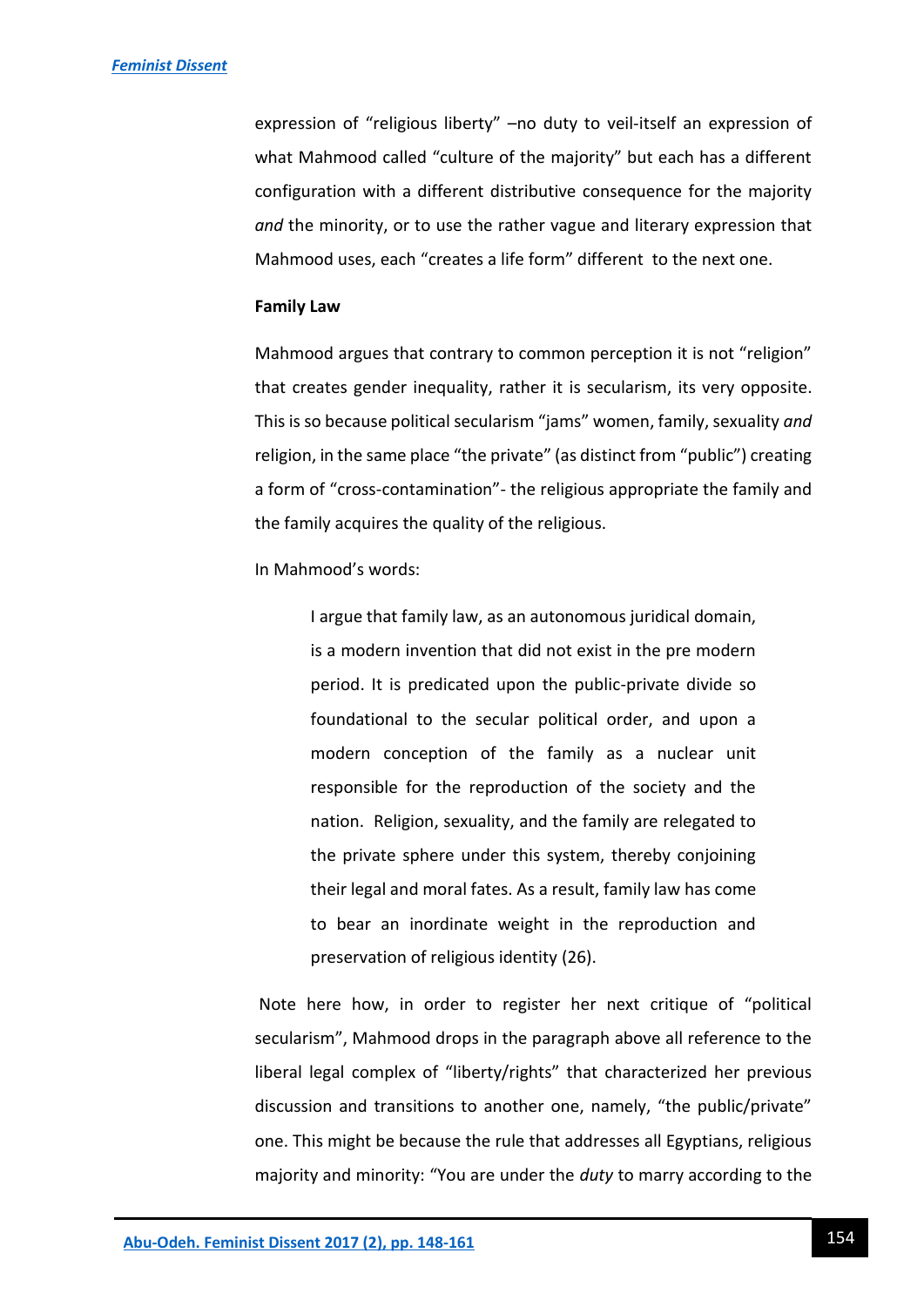expression of "religious liberty" –no duty to veil-itself an expression of what Mahmood called "culture of the majority" but each has a different configuration with a different distributive consequence for the majority *and* the minority, or to use the rather vague and literary expression that Mahmood uses, each "creates a life form" different to the next one.

#### **Family Law**

Mahmood argues that contrary to common perception it is not "religion" that creates gender inequality, rather it is secularism, its very opposite. This is so because political secularism "jams" women, family, sexuality *and* religion, in the same place "the private" (as distinct from "public") creating a form of "cross-contamination"- the religious appropriate the family and the family acquires the quality of the religious.

In Mahmood's words:

I argue that family law, as an autonomous juridical domain, is a modern invention that did not exist in the pre modern period. It is predicated upon the public-private divide so foundational to the secular political order, and upon a modern conception of the family as a nuclear unit responsible for the reproduction of the society and the nation. Religion, sexuality, and the family are relegated to the private sphere under this system, thereby conjoining their legal and moral fates. As a result, family law has come to bear an inordinate weight in the reproduction and preservation of religious identity (26).

Note here how, in order to register her next critique of "political secularism", Mahmood drops in the paragraph above all reference to the liberal legal complex of "liberty/rights" that characterized her previous discussion and transitions to another one, namely, "the public/private" one. This might be because the rule that addresses all Egyptians, religious majority and minority: "You are under the *duty* to marry according to the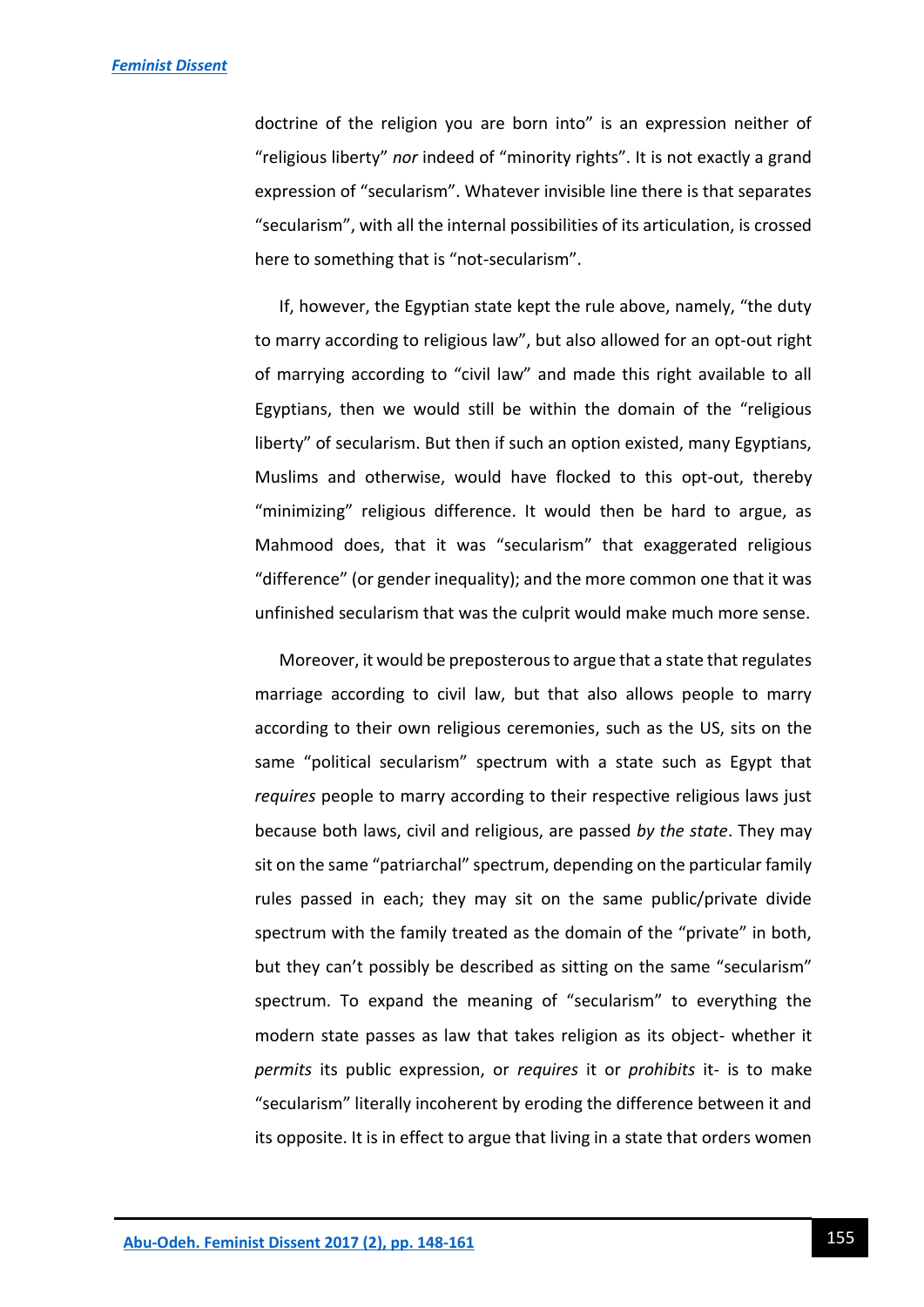doctrine of the religion you are born into" is an expression neither of "religious liberty" *nor* indeed of "minority rights". It is not exactly a grand expression of "secularism". Whatever invisible line there is that separates "secularism", with all the internal possibilities of its articulation, is crossed here to something that is "not-secularism".

If, however, the Egyptian state kept the rule above, namely, "the duty to marry according to religious law", but also allowed for an opt-out right of marrying according to "civil law" and made this right available to all Egyptians, then we would still be within the domain of the "religious liberty" of secularism. But then if such an option existed, many Egyptians, Muslims and otherwise, would have flocked to this opt-out, thereby "minimizing" religious difference. It would then be hard to argue, as Mahmood does, that it was "secularism" that exaggerated religious "difference" (or gender inequality); and the more common one that it was unfinished secularism that was the culprit would make much more sense.

Moreover, it would be preposterous to argue that a state that regulates marriage according to civil law, but that also allows people to marry according to their own religious ceremonies, such as the US, sits on the same "political secularism" spectrum with a state such as Egypt that *requires* people to marry according to their respective religious laws just because both laws, civil and religious, are passed *by the state*. They may sit on the same "patriarchal" spectrum, depending on the particular family rules passed in each; they may sit on the same public/private divide spectrum with the family treated as the domain of the "private" in both, but they can't possibly be described as sitting on the same "secularism" spectrum. To expand the meaning of "secularism" to everything the modern state passes as law that takes religion as its object- whether it *permits* its public expression, or *requires* it or *prohibits* it- is to make "secularism" literally incoherent by eroding the difference between it and its opposite. It is in effect to argue that living in a state that orders women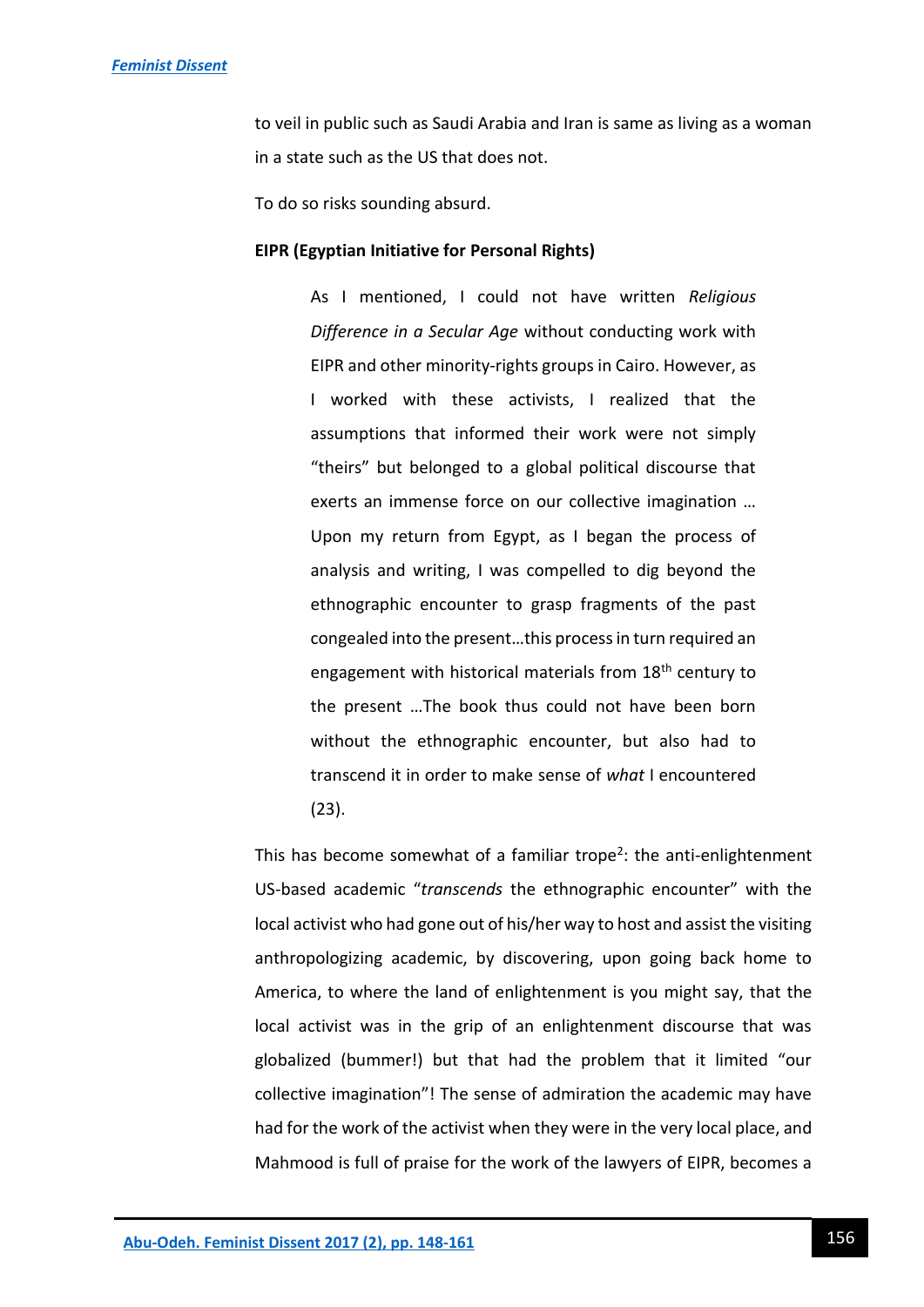to veil in public such as Saudi Arabia and Iran is same as living as a woman in a state such as the US that does not.

To do so risks sounding absurd.

#### **EIPR (Egyptian Initiative for Personal Rights)**

As I mentioned, I could not have written *Religious Difference in a Secular Age* without conducting work with EIPR and other minority-rights groups in Cairo. However, as I worked with these activists, I realized that the assumptions that informed their work were not simply "theirs" but belonged to a global political discourse that exerts an immense force on our collective imagination … Upon my return from Egypt, as I began the process of analysis and writing, I was compelled to dig beyond the ethnographic encounter to grasp fragments of the past congealed into the present…this process in turn required an engagement with historical materials from 18<sup>th</sup> century to the present …The book thus could not have been born without the ethnographic encounter, but also had to transcend it in order to make sense of *what* I encountered (23).

This has become somewhat of a familiar trope<sup>2</sup>: the anti-enlightenment US-based academic "*transcends* the ethnographic encounter" with the local activist who had gone out of his/her way to host and assist the visiting anthropologizing academic, by discovering, upon going back home to America, to where the land of enlightenment is you might say, that the local activist was in the grip of an enlightenment discourse that was globalized (bummer!) but that had the problem that it limited "our collective imagination"! The sense of admiration the academic may have had for the work of the activist when they were in the very local place, and Mahmood is full of praise for the work of the lawyers of EIPR, becomes a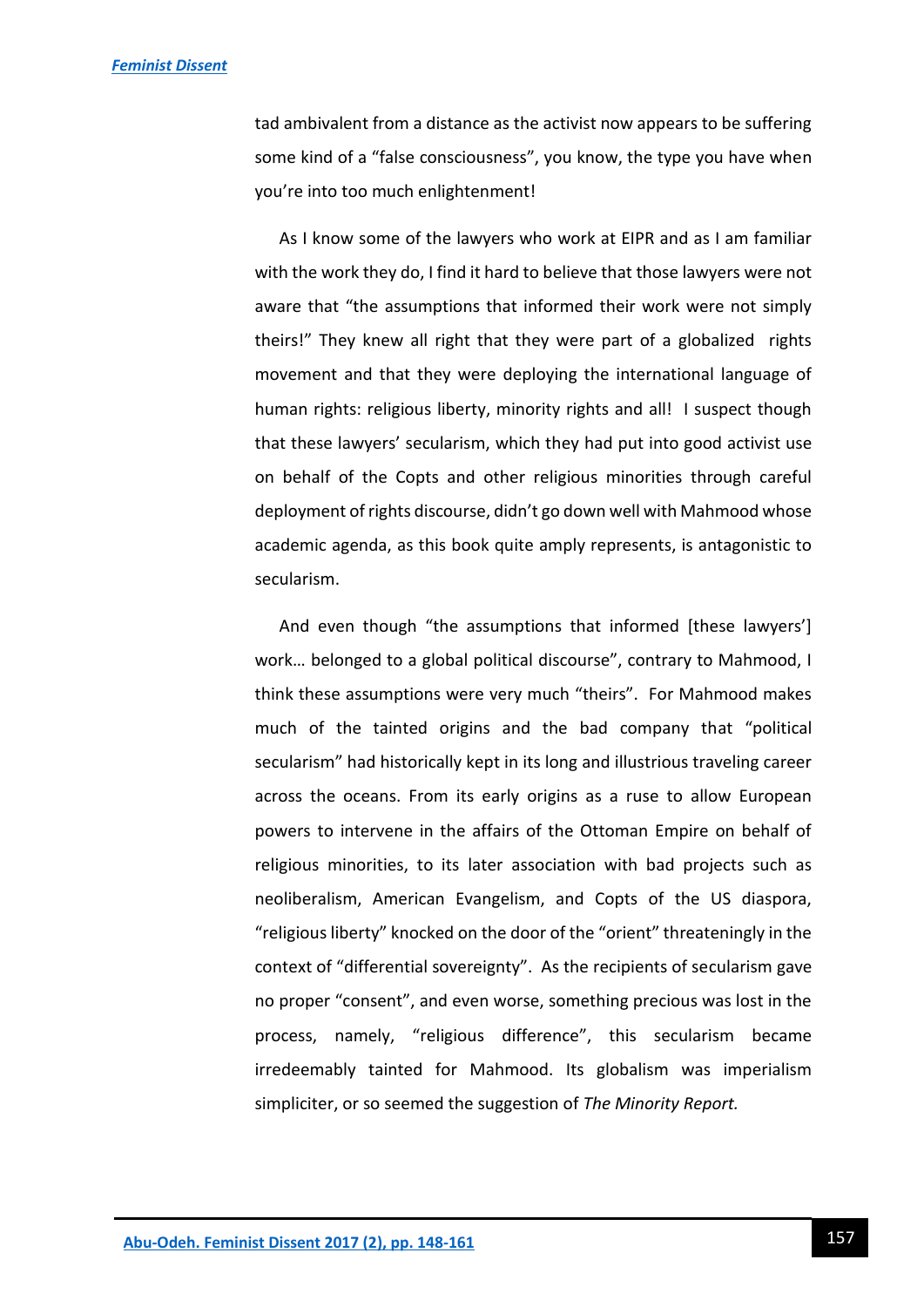tad ambivalent from a distance as the activist now appears to be suffering some kind of a "false consciousness", you know, the type you have when you're into too much enlightenment!

As I know some of the lawyers who work at EIPR and as I am familiar with the work they do, I find it hard to believe that those lawyers were not aware that "the assumptions that informed their work were not simply theirs!" They knew all right that they were part of a globalized rights movement and that they were deploying the international language of human rights: religious liberty, minority rights and all! I suspect though that these lawyers' secularism, which they had put into good activist use on behalf of the Copts and other religious minorities through careful deployment of rights discourse, didn't go down well with Mahmood whose academic agenda, as this book quite amply represents, is antagonistic to secularism.

And even though "the assumptions that informed [these lawyers'] work… belonged to a global political discourse", contrary to Mahmood, I think these assumptions were very much "theirs". For Mahmood makes much of the tainted origins and the bad company that "political secularism" had historically kept in its long and illustrious traveling career across the oceans. From its early origins as a ruse to allow European powers to intervene in the affairs of the Ottoman Empire on behalf of religious minorities, to its later association with bad projects such as neoliberalism, American Evangelism, and Copts of the US diaspora, "religious liberty" knocked on the door of the "orient" threateningly in the context of "differential sovereignty". As the recipients of secularism gave no proper "consent", and even worse, something precious was lost in the process, namely, "religious difference", this secularism became irredeemably tainted for Mahmood. Its globalism was imperialism simpliciter, or so seemed the suggestion of *The Minority Report.*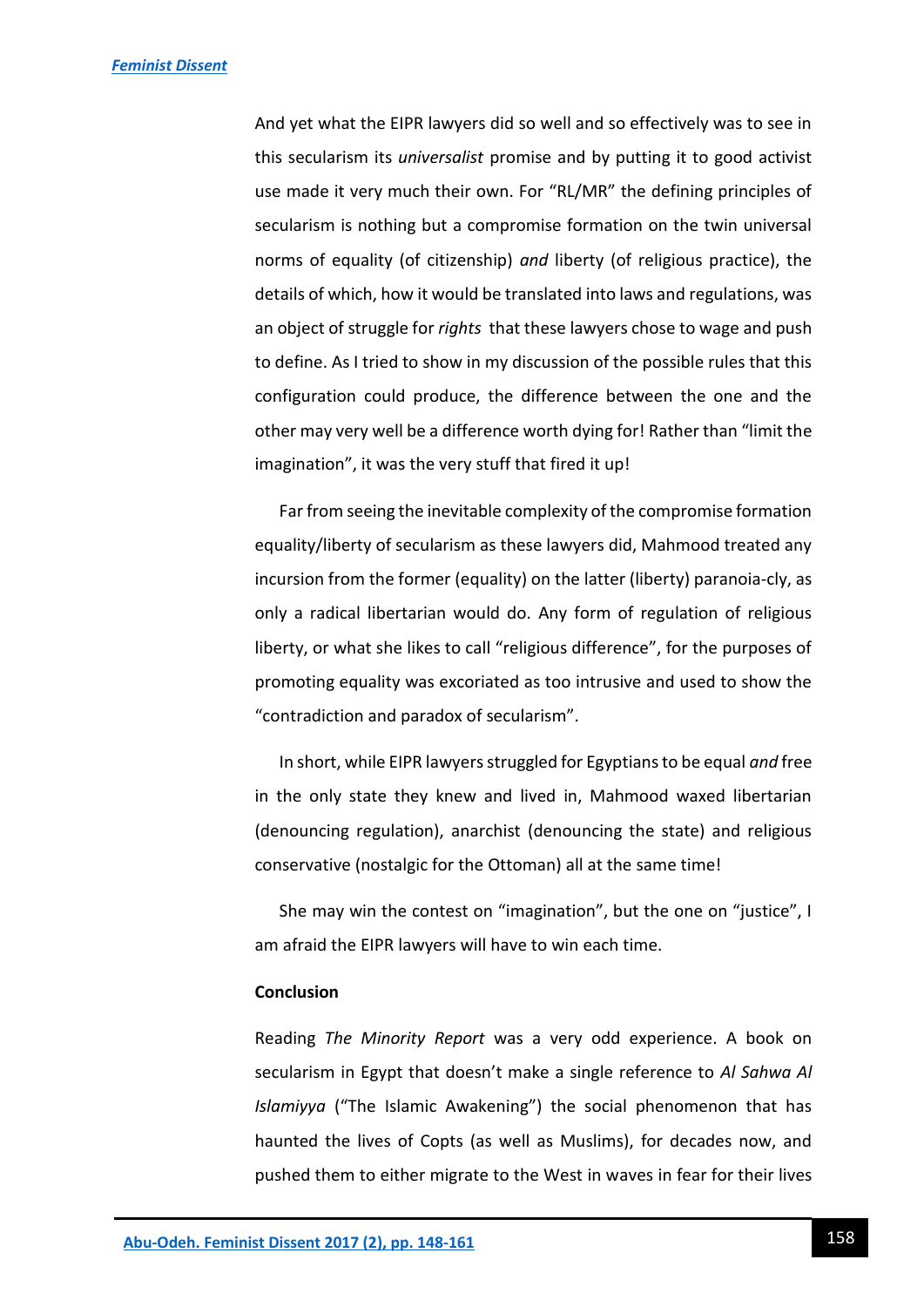And yet what the EIPR lawyers did so well and so effectively was to see in this secularism its *universalist* promise and by putting it to good activist use made it very much their own. For "RL/MR" the defining principles of secularism is nothing but a compromise formation on the twin universal norms of equality (of citizenship) *and* liberty (of religious practice), the details of which, how it would be translated into laws and regulations, was an object of struggle for *rights* that these lawyers chose to wage and push to define. As I tried to show in my discussion of the possible rules that this configuration could produce, the difference between the one and the other may very well be a difference worth dying for! Rather than "limit the imagination", it was the very stuff that fired it up!

Far from seeing the inevitable complexity of the compromise formation equality/liberty of secularism as these lawyers did, Mahmood treated any incursion from the former (equality) on the latter (liberty) paranoia-cly, as only a radical libertarian would do. Any form of regulation of religious liberty, or what she likes to call "religious difference", for the purposes of promoting equality was excoriated as too intrusive and used to show the "contradiction and paradox of secularism".

In short, while EIPR lawyers struggled for Egyptians to be equal *and* free in the only state they knew and lived in, Mahmood waxed libertarian (denouncing regulation), anarchist (denouncing the state) and religious conservative (nostalgic for the Ottoman) all at the same time!

She may win the contest on "imagination", but the one on "justice", I am afraid the EIPR lawyers will have to win each time.

#### **Conclusion**

Reading *The Minority Report* was a very odd experience. A book on secularism in Egypt that doesn't make a single reference to *Al Sahwa Al Islamiyya* ("The Islamic Awakening") the social phenomenon that has haunted the lives of Copts (as well as Muslims), for decades now, and pushed them to either migrate to the West in waves in fear for their lives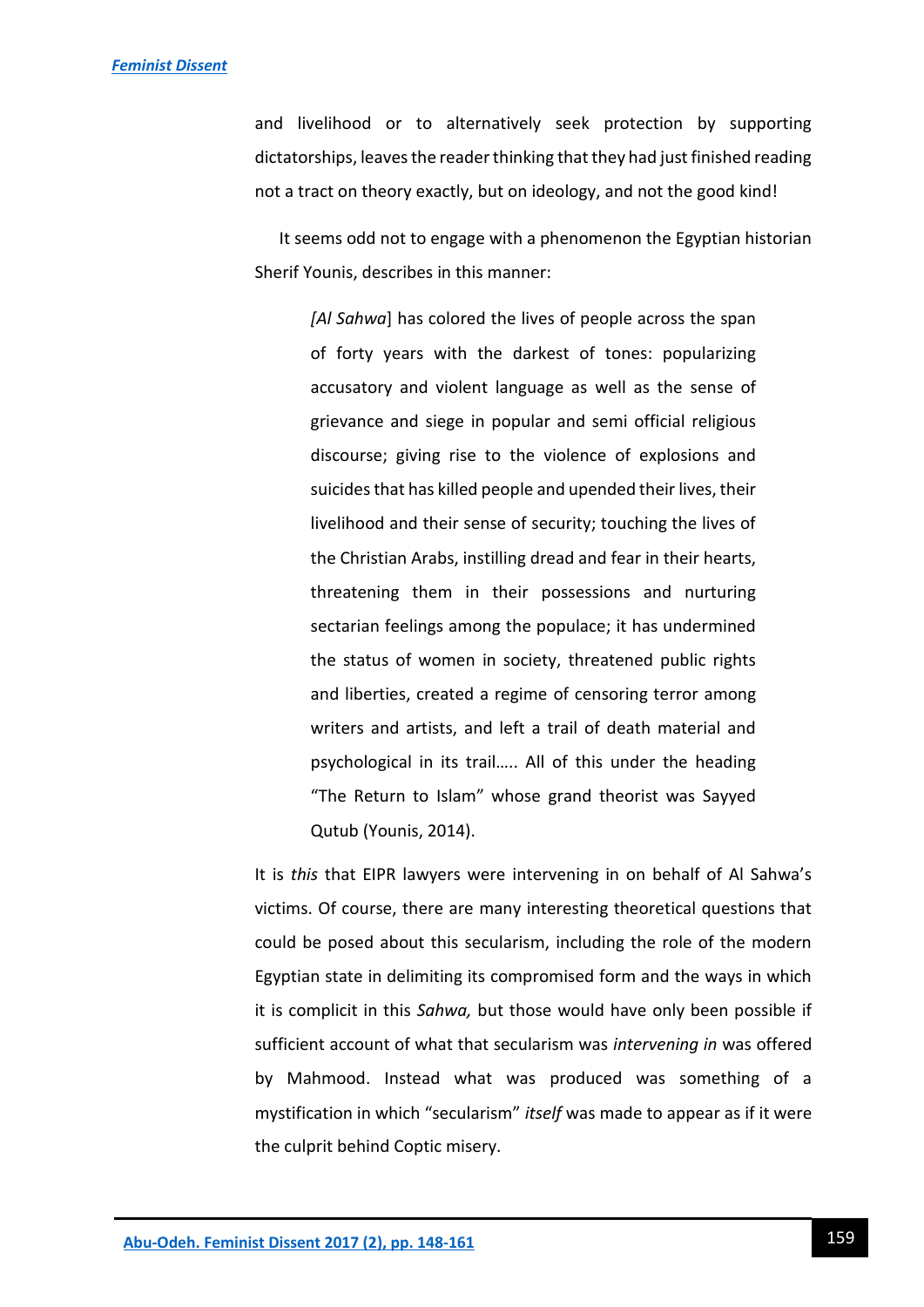and livelihood or to alternatively seek protection by supporting dictatorships, leaves the reader thinking that they had just finished reading not a tract on theory exactly, but on ideology, and not the good kind!

It seems odd not to engage with a phenomenon the Egyptian historian Sherif Younis, describes in this manner:

> *[Al Sahwa*] has colored the lives of people across the span of forty years with the darkest of tones: popularizing accusatory and violent language as well as the sense of grievance and siege in popular and semi official religious discourse; giving rise to the violence of explosions and suicides that has killed people and upended their lives, their livelihood and their sense of security; touching the lives of the Christian Arabs, instilling dread and fear in their hearts, threatening them in their possessions and nurturing sectarian feelings among the populace; it has undermined the status of women in society, threatened public rights and liberties, created a regime of censoring terror among writers and artists, and left a trail of death material and psychological in its trail….. All of this under the heading "The Return to Islam" whose grand theorist was Sayyed Qutub (Younis, 2014).

It is *this* that EIPR lawyers were intervening in on behalf of Al Sahwa's victims. Of course, there are many interesting theoretical questions that could be posed about this secularism, including the role of the modern Egyptian state in delimiting its compromised form and the ways in which it is complicit in this *Sahwa,* but those would have only been possible if sufficient account of what that secularism was *intervening in* was offered by Mahmood. Instead what was produced was something of a mystification in which "secularism" *itself* was made to appear as if it were the culprit behind Coptic misery.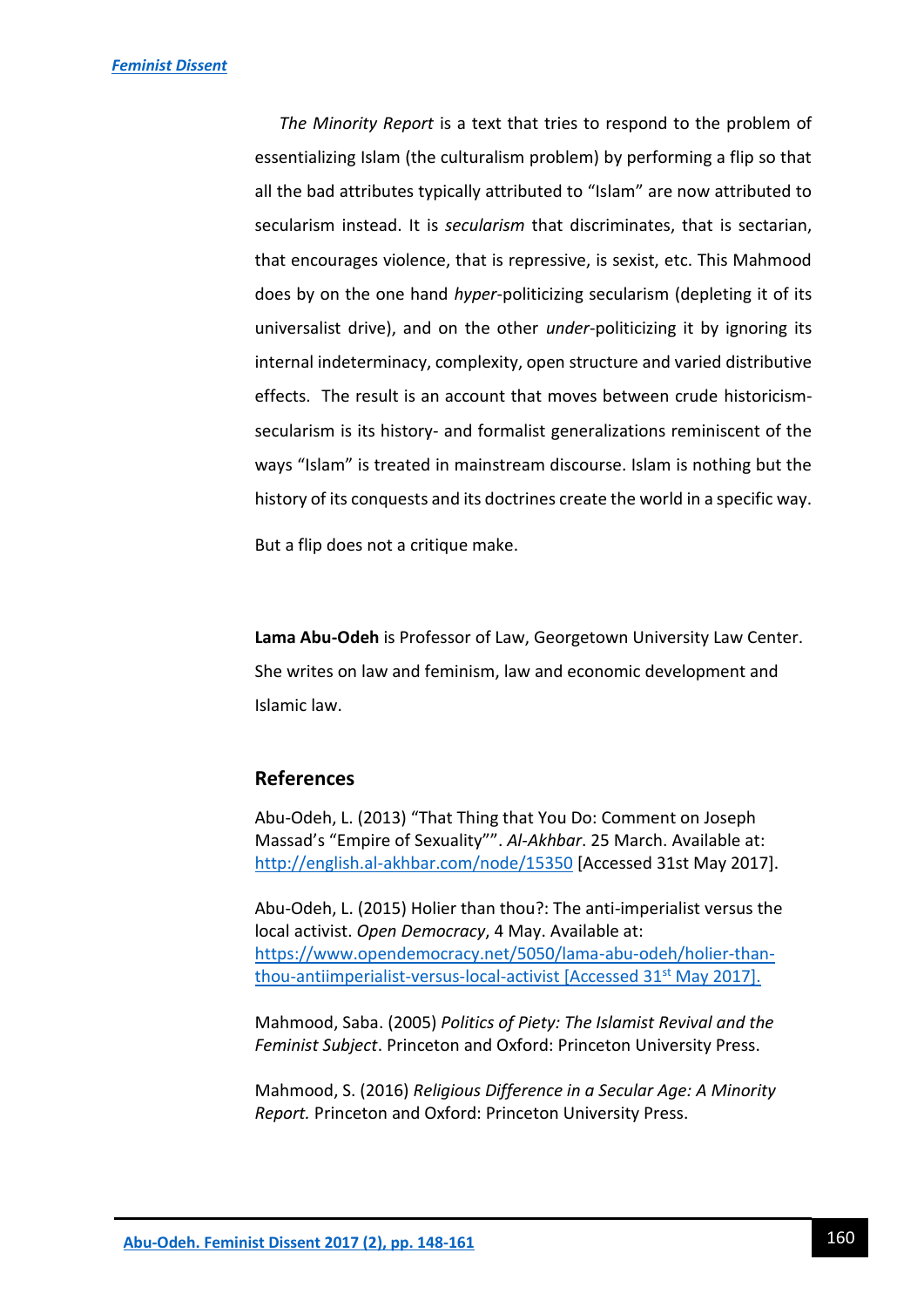*The Minority Report* is a text that tries to respond to the problem of essentializing Islam (the culturalism problem) by performing a flip so that all the bad attributes typically attributed to "Islam" are now attributed to secularism instead. It is *secularism* that discriminates, that is sectarian, that encourages violence, that is repressive, is sexist, etc. This Mahmood does by on the one hand *hyper*-politicizing secularism (depleting it of its universalist drive), and on the other *under*-politicizing it by ignoring its internal indeterminacy, complexity, open structure and varied distributive effects. The result is an account that moves between crude historicismsecularism is its history- and formalist generalizations reminiscent of the ways "Islam" is treated in mainstream discourse. Islam is nothing but the history of its conquests and its doctrines create the world in a specific way.

But a flip does not a critique make.

**Lama Abu-Odeh** is Professor of Law, Georgetown University Law Center. She writes on law and feminism, law and economic development and Islamic law.

## **References**

Abu-Odeh, L. (2013) "That Thing that You Do: Comment on Joseph Massad's "Empire of Sexuality"". *Al-Akhbar*. 25 March. Available at: <http://english.al-akhbar.com/node/15350> [Accessed 31st May 2017].

Abu-Odeh, L. (2015) Holier than thou?: The anti-imperialist versus the local activist. *Open Democracy*, 4 May. Available at: [https://www.opendemocracy.net/5050/lama-abu-odeh/holier-than](https://www.opendemocracy.net/5050/lama-abu-odeh/holier-than-thou-antiimperialist-versus-local-activist)[thou-antiimperialist-versus-local-activist](https://www.opendemocracy.net/5050/lama-abu-odeh/holier-than-thou-antiimperialist-versus-local-activist) [Accessed 31<sup>st</sup> May 2017].

Mahmood, Saba. (2005) *Politics of Piety: The Islamist Revival and the Feminist Subject*. Princeton and Oxford: Princeton University Press.

Mahmood, S. (2016) *Religious Difference in a Secular Age: A Minority Report.* Princeton and Oxford: Princeton University Press.